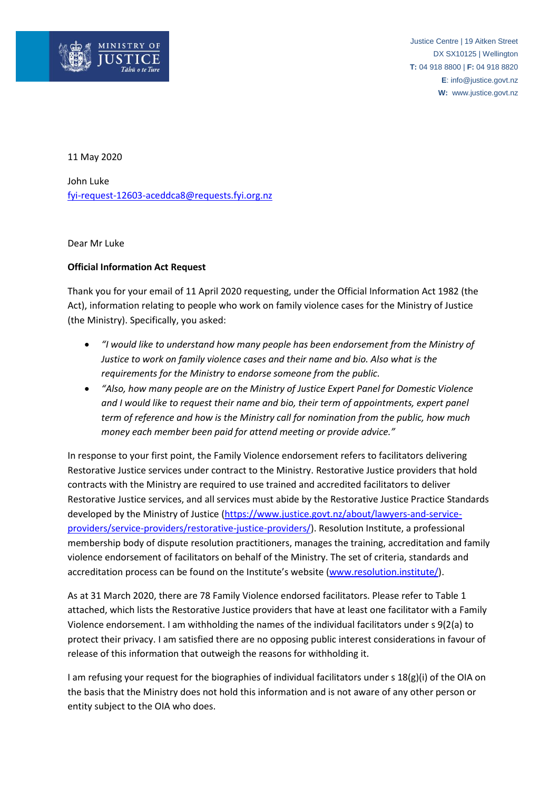

Justice Centre | 19 Aitken Street DX SX10125 | Wellington **T:** 04 918 8800 | **F:** 04 918 8820 **E**: info@justice.govt.nz **W:** www.justice.govt.nz

11 May 2020

John Luke [fyi-request-12603-aceddca8@requests.fyi.org.nz](mailto:xxxxxxxxxxxxxxxxxxxxxxxxxx@xxxxxxxx.xxx.xxx.xx)

Dear Mr Luke

## **Official Information Act Request**

Thank you for your email of 11 April 2020 requesting, under the Official Information Act 1982 (the Act), information relating to people who work on family violence cases for the Ministry of Justice (the Ministry). Specifically, you asked:

- *"I would like to understand how many people has been endorsement from the Ministry of Justice to work on family violence cases and their name and bio. Also what is the requirements for the Ministry to endorse someone from the public.*
- *"Also, how many people are on the Ministry of Justice Expert Panel for Domestic Violence and I would like to request their name and bio, their term of appointments, expert panel term of reference and how is the Ministry call for nomination from the public, how much money each member been paid for attend meeting or provide advice."*

In response to your first point, the Family Violence endorsement refers to facilitators delivering Restorative Justice services under contract to the Ministry. Restorative Justice providers that hold contracts with the Ministry are required to use trained and accredited facilitators to deliver Restorative Justice services, and all services must abide by the Restorative Justice Practice Standards developed by the Ministry of Justice [\(https://www.justice.govt.nz/about/lawyers-and-service](https://www.justice.govt.nz/about/lawyers-and-service-providers/service-providers/restorative-justice-providers/)[providers/service-providers/restorative-justice-providers/\)](https://www.justice.govt.nz/about/lawyers-and-service-providers/service-providers/restorative-justice-providers/). Resolution Institute, a professional membership body of dispute resolution practitioners, manages the training, accreditation and family violence endorsement of facilitators on behalf of the Ministry. The set of criteria, standards and accreditation process can be found on the Institute's website (www.resolution.institute/).

As at 31 March 2020, there are 78 Family Violence endorsed facilitators. Please refer to Table 1 attached, which lists the Restorative Justice providers that have at least one facilitator with a Family Violence endorsement. I am withholding the names of the individual facilitators under s 9(2(a) to protect their privacy. I am satisfied there are no opposing public interest considerations in favour of release of this information that outweigh the reasons for withholding it.

I am refusing your request for the biographies of individual facilitators under s 18(g)(i) of the OIA on the basis that the Ministry does not hold this information and is not aware of any other person or entity subject to the OIA who does.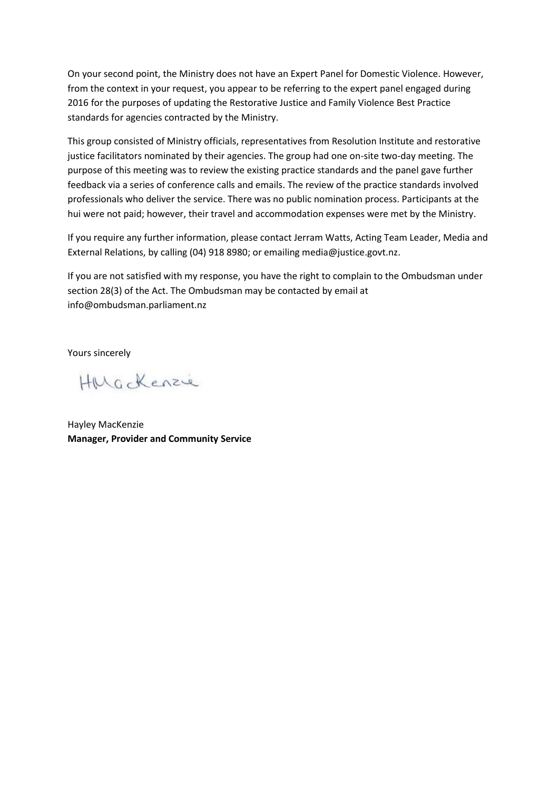On your second point, the Ministry does not have an Expert Panel for Domestic Violence. However, from the context in your request, you appear to be referring to the expert panel engaged during 2016 for the purposes of updating the Restorative Justice and Family Violence Best Practice standards for agencies contracted by the Ministry.

This group consisted of Ministry officials, representatives from Resolution Institute and restorative justice facilitators nominated by their agencies. The group had one on-site two-day meeting. The purpose of this meeting was to review the existing practice standards and the panel gave further feedback via a series of conference calls and emails. The review of the practice standards involved professionals who deliver the service. There was no public nomination process. Participants at the hui were not paid; however, their travel and accommodation expenses were met by the Ministry.

If you require any further information, please contact Jerram Watts, Acting Team Leader, Media and External Relations, by calling (04) 918 8980; or emailing media@justice.govt.nz.

If you are not satisfied with my response, you have the right to complain to the Ombudsman under section 28(3) of the Act. The Ombudsman may be contacted by email at info@ombudsman.parliament.nz

Yours sincerely

HMGckenzie

Hayley MacKenzie **Manager, Provider and Community Service**